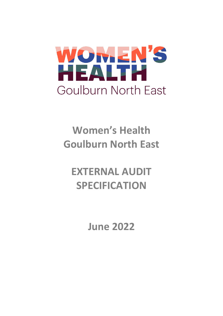

# **Women's Health Goulburn North East**

# **EXTERNAL AUDIT SPECIFICATION**

**June 2022**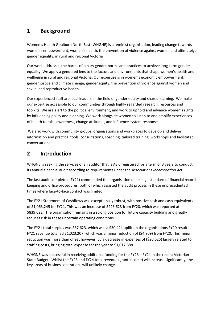### **1 Background**

Women's Health Goulburn North East (WHGNE) is a feminist organisation, leading change towards women's empowerment, women's health, the prevention of violence against women and ultimately, gender equality, in rural and regional Victoria

Our work addresses the harms of binary gender norms and practices to achieve long-term gender equality. We apply a gendered lens to the factors and environments that shape women's health and wellbeing in rural and regional Victoria. Our expertise is in women's economic empowerment, gender justice and climate change, gender equity, the prevention of violence against women and sexual and reproductive health.

Our experienced staff are local leaders in the field of gender equity and shared learning. We make our expertise accessible to our communities through highly regarded research, resources and toolkits. We are alert to the political environment, and work to uphold and advance women's rights by influencing policy and planning. We work alongside women to listen to and amplify experiences of health to raise awareness, change attitudes, and influence system response.

We also work with community groups, organisations and workplaces to develop and deliver information and practical tools, consultations, coaching, tailored training, workshops and facilitated conversations.

## **2 Introduction**

WHGNE is seeking the services of an auditor that is ASIC registered for a term of 3 years to conduct its annual financial audit according to requirements under the *Associations Incorporation Act*.

The last audit completed (FY21) commended the organisation on its high standard of financial record keeping and office procedures, both of which assisted the audit process in these unprecedented times where face-to-face contact was limited.

The FY21 Statement of Cashflows was exceptionally robust, with positive cash and cash equivalents of \$1,063,245 for FY21. This was an increase of \$223,623 from FY20, which was reported at \$839,622. The organisation remains in a strong position for future capacity building and greatly reduces risk in these uncertain operating conditions.

The FY21 total surplus was \$67,623, which was a \$30,424 uplift on the organisations FY20 result. FY21 revenue totalled \$1,023,207, which was a minor reduction of (\$4,809) from FY20. This minor reduction was more than offset however, by a decrease in expenses of (\$20,625) largely related to staffing costs, bringing total expense for the year to \$1,012,888.

WHGNE was successful in receiving additional funding for the FY23 – FY24 in the recent Victorian State Budget. Whilst the FY23 and FY24 total revenue (grant income) will increase significantly, the key areas of business operations will unlikely change.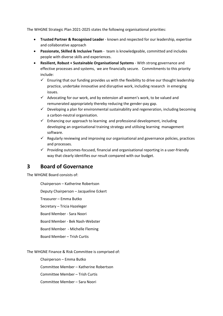The WHGNE Strategic Plan 2021-2025 states the following organisational priorities:

- **Trusted Partner & Recognised Leader** known and respected for our leadership, expertise and collaborative approach
- **Passionate, Skilled & Inclusive Team** team is knowledgeable, committed and includes people with diverse skills and experiences.
- **Resilient, Robust + Sustainable Organisational Systems** With strong governance and effective processes and systems, we are financially secure. Commitments to this priority include:
	- $\checkmark$  Ensuring that our funding provides us with the flexibility to drive our thought leadership practice, undertake innovative and disruptive work, including research in emerging issues.
	- $\checkmark$  Advocating for our work, and by extension all women's work, to be valued and remunerated appropriately thereby reducing the gender-pay gap.
	- $\checkmark$  Developing a plan for environmental sustainability and regeneration, including becoming a carbon-neutral organisation.
	- $\checkmark$  Enhancing our approach to learning and professional development, including developing an organisational training strategy and utilising learning management software.
	- $\checkmark$  Regularly reviewing and improving our organisational and governance policies, practices and processes.
	- $\checkmark$  Providing outcomes-focused, financial and organisational reporting in a user-friendly way that clearly identifies our result compared with our budget.

#### **3 Board of Governance**

The WHGNE Board consists of:

Chairperson – Katherine Robertson

Deputy Chairperson – Jacqueline Eckert

Treasurer – Emma Butko

Secretary – Tricia Hazeleger

Board Member - Sara Noori

Board Member - Bek Nash-Webster

Board Member - Michelle Fleming

Board Member – Trish Curtis

The WHGNE Finance & Risk Committee is comprised of:

Chairperson – Emma Butko

Committee Member – Katherine Robertson

Committee Member – Trish Curtis

Committee Member – Sara Noori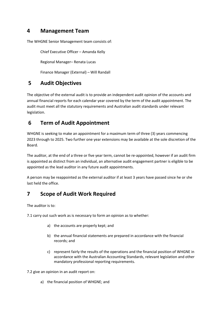#### **4 Management Team**

The WHGNE Senior Management team consists of:

Chief Executive Officer – Amanda Kelly

Regional Manager– Renata Lucas

Finance Manager (External) – Will Randall

# **5 Audit Objectives**

The objective of the external audit is to provide an independent audit opinion of the accounts and annual financial reports for each calendar year covered by the term of the audit appointment. The audit must meet all the statutory requirements and Australian audit standards under relevant legislation.

## **6 Term of Audit Appointment**

WHGNE is seeking to make an appointment for a maximum term of three (3) years commencing 2023 through to 2025. Two further one year extensions may be available at the sole discretion of the Board.

The auditor, at the end of a three or five year term, cannot be re-appointed, however if an audit firm is appointed as distinct from an individual, an alternative audit engagement partner is eligible to be appointed as the lead auditor in any future audit appointments.

A person may be reappointed as the external auditor if at least 3 years have passed since he or she last held the office.

# **7 Scope of Audit Work Required**

The auditor is to:

7.1 carry out such work as is necessary to form an opinion as to whether:

- a) the accounts are properly kept; and
- b) the annual financial statements are prepared in accordance with the financial records; and
- c) represent fairly the results of the operations and the financial position of WHGNE in accordance with the Australian Accounting Standards, relevant legislation and other mandatory professional reporting requirements.

7.2 give an opinion in an audit report on:

a) the financial position of WHGNE; and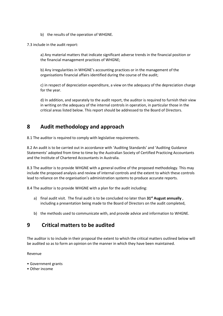- b) the results of the operation of WHGNE.
- 7.3 include in the audit report:

a) Any material matters that indicate significant adverse trends in the financial position or the financial management practices of WHGNE;

b) Any irregularities in WHGNE's accounting practices or in the management of the organisations financial affairs identified during the course of the audit;

c) in respect of depreciation expenditure, a view on the adequacy of the depreciation charge for the year.

d) In addition, and separately to the audit report, the auditor is required to furnish their view in writing on the adequacy of the internal controls in operation, in particular those in the critical areas listed below. This report should be addressed to the Board of Directors.

#### **8 Audit methodology and approach**

8.1 The auditor is required to comply with legislative requirements.

8.2 An audit is to be carried out in accordance with 'Auditing Standards' and 'Auditing Guidance Statements' adopted from time to time by the Australian Society of Certified Practicing Accountants and the Institute of Chartered Accountants in Australia.

8.3 The auditor is to provide WHGNE with a general outline of the proposed methodology. This may include the proposed analysis and review of internal controls and the extent to which these controls lead to reliance on the organisation's administration systems to produce accurate reports.

8.4 The auditor is to provide WHGNE with a plan for the audit including:

- a) final audit visit. The final audit is to be concluded no later than **31st August annually** , including a presentation being made to the Board of Directors on the audit completed,
- b) the methods used to communicate with, and provide advice and information to WHGNE.

#### **9 Critical matters to be audited**

The auditor is to include in their proposal the extent to which the critical matters outlined below will be audited so as to form an opinion on the manner in which they have been maintained.

#### Revenue

- Government grants
- Other income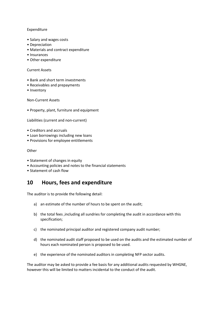#### Expenditure

- Salary and wages costs
- Depreciation
- Materials and contract expenditure
- Insurances
- Other expenditure

#### Current Assets

- Bank and short term investments
- Receivables and prepayments
- Inventory

Non-Current Assets

• Property, plant, furniture and equipment

Liabilities (current and non-current)

- Creditors and accruals
- Loan borrowings including new loans
- Provisions for employee entitlements

**Other** 

- Statement of changes in equity
- Accounting policies and notes to the financial statements
- Statement of cash flow

#### **10 Hours, fees and expenditure**

The auditor is to provide the following detail:

- a) an estimate of the number of hours to be spent on the audit;
- b) the total fees ,including all sundries for completing the audit in accordance with this specification;
- c) the nominated principal auditor and registered company audit number;
- d) the nominated audit staff proposed to be used on the audits and the estimated number of hours each nominated person is proposed to be used.
- e) the experience of the nominated auditors in completing NFP sector audits.

The auditor may be asked to provide a fee basis for any additional audits requested by WHGNE, however this will be limited to matters incidental to the conduct of the audit.